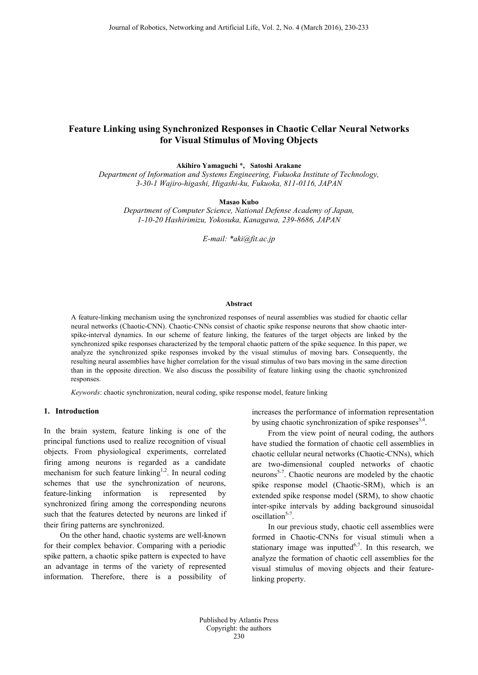# **Feature Linking using Synchronized Responses in Chaotic Cellar Neural Networks for Visual Stimulus of Moving Objects**

**Akihiro Yamaguchi** \***, Satoshi Arakane**

*Department of Information and Systems Engineering, Fukuoka Institute of Technology, 3-30-1 Wajiro-higashi, Higashi-ku, Fukuoka, 811-0116, JAPAN*

**Masao Kubo**

*Department of Computer Science, National Defense Academy of Japan, 1-10-20 Hashirimizu, Yokosuka, Kanagawa, 239-8686, JAPAN*

*E-mail: \*aki@fit.ac.jp*

#### **Abstract**

A feature-linking mechanism using the synchronized responses of neural assemblies was studied for chaotic cellar neural networks (Chaotic-CNN). Chaotic-CNNs consist of chaotic spike response neurons that show chaotic interspike-interval dynamics. In our scheme of feature linking, the features of the target objects are linked by the synchronized spike responses characterized by the temporal chaotic pattern of the spike sequence. In this paper, we analyze the synchronized spike responses invoked by the visual stimulus of moving bars. Consequently, the resulting neural assemblies have higher correlation for the visual stimulus of two bars moving in the same direction than in the opposite direction. We also discuss the possibility of feature linking using the chaotic synchronized responses.

*Keywords*: chaotic synchronization, neural coding, spike response model, feature linking

## **1. Introduction**

In the brain system, feature linking is one of the principal functions used to realize recognition of visual objects. From physiological experiments, correlated firing among neurons is regarded as a candidate mechanism for such feature linking<sup>1,2</sup>. In neural coding schemes that use the synchronization of neurons, feature-linking information is represented by synchronized firing among the corresponding neurons such that the features detected by neurons are linked if their firing patterns are synchronized.

On the other hand, chaotic systems are well-known for their complex behavior. Comparing with a periodic spike pattern, a chaotic spike pattern is expected to have an advantage in terms of the variety of represented information. Therefore, there is a possibility of increases the performance of information representation by using chaotic synchronization of spike responses<sup>3,4</sup>.

From the view point of neural coding, the authors have studied the formation of chaotic cell assemblies in chaotic cellular neural networks (Chaotic-CNNs), which are two-dimensional coupled networks of chaotic neurons5-7. Chaotic neurons are modeled by the chaotic spike response model (Chaotic-SRM), which is an extended spike response model (SRM), to show chaotic inter-spike intervals by adding background sinusoidal oscillation<sup>5-7</sup>.

In our previous study, chaotic cell assemblies were formed in Chaotic-CNNs for visual stimuli when a stationary image was inputted $6,7$ . In this research, we analyze the formation of chaotic cell assemblies for the visual stimulus of moving objects and their featurelinking property.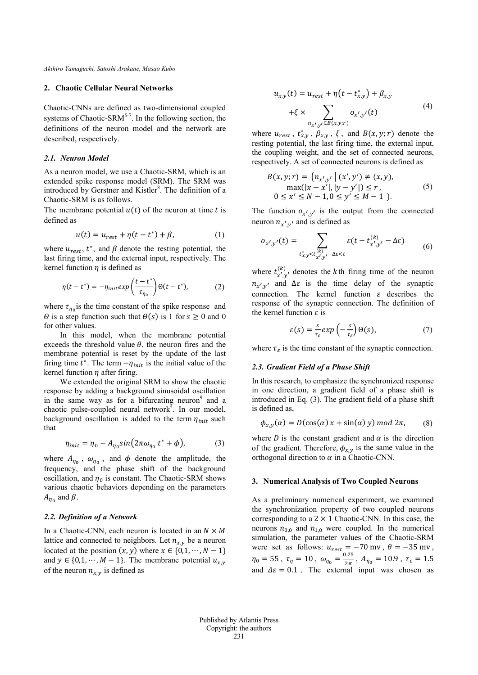*Akihiro Yamaguchi, Satoshi Arakane, Masao Kubo*

#### **2. Chaotic Cellular Neural Networks**

Chaotic-CNNs are defined as two-dimensional coupled systems of Chaotic-SRM<sup>5-7</sup>. In the following section, the definitions of the neuron model and the network are described, respectively.

#### *2.1. Neuron Model*

As a neuron model, we use a Chaotic-SRM, which is an extended spike response model (SRM). The SRM was introduced by Gerstner and Kistler<sup>8</sup>. The definition of a Chaotic-SRM is as follows.

The membrane potential  $u(t)$  of the neuron at time t is defined as

$$
u(t) = u_{rest} + \eta(t - t^*) + \beta,\tag{1}
$$

where  $u_{rest}$ ,  $t^*$ , and  $\beta$  denote the resting potential, the last firing time, and the external input, respectively. The kernel function  $\eta$  is defined as

$$
\eta(t - t^*) = -\eta_{init} \exp\left(\frac{t - t^*}{\tau_{\eta_0}}\right) \Theta(t - t^*),\tag{2}
$$

where  $\tau_{\eta_0}$  is the time constant of the spike response and  $\Theta$  is a step function such that  $\Theta(s)$  is 1 for  $s \geq 0$  and 0 for other values.

In this model, when the membrane potential exceeds the threshold value  $\theta$ , the neuron fires and the membrane potential is reset by the update of the last firing time  $t^*$ . The term  $-\eta_{init}$  is the initial value of the kernel function  $\eta$  after firing.

We extended the original SRM to show the chaotic response by adding a background sinusoidal oscillation in the same way as for a bifurcating neuron<sup>9</sup> and a chaotic pulse-coupled neural network $\frac{1}{4}$ . In our model, background oscillation is added to the term  $\eta_{init}$  such that

$$
\eta_{init} = \eta_0 - A_{\eta_0} \sin(2\pi \omega_{\eta_0} t^* + \phi), \tag{3}
$$

where  $A_{\eta_0}$ ,  $\omega_{\eta_0}$ , and  $\phi$  denote the amplitude, the frequency, and the phase shift of the background oscillation, and  $\eta_0$  is constant. The Chaotic-SRM shows various chaotic behaviors depending on the parameters  $A_{n_0}$  and  $\beta$ .

## *2.2. Definition of a Network*

In a Chaotic-CNN, each neuron is located in an  $N \times M$ lattice and connected to neighbors. Let  $n_{x,y}$  be a neuron located at the position  $(x, y)$  where  $x \in \{0, 1, \dots, N - 1\}$ and  $y \in \{0,1,\dots,M-1\}$ . The membrane potential  $u_{x,y}$ of the neuron  $n_{x,y}$  is defined as

$$
u_{x,y}(t) = u_{rest} + \eta(t - t_{x,y}^*) + \beta_{x,y} + \xi \times \sum_{n_{x',y'} \in B(x,y;r)} o_{x',y'}(t)
$$
 (4)

where  $u_{rest}$ ,  $t_{x,y}$ ,  $\beta_{x,y}$ ,  $\xi$ , and  $B(x, y; r)$  denote the resting potential, the last firing time, the external input, the coupling weight, and the set of connected neurons, respectively. A set of connected neurons is defined as

$$
B(x, y; r) = \{n_{x', y'} | (x', y') \neq (x, y),
$$
  
\n
$$
\max(|x - x'|, |y - y'|) \leq r,
$$
  
\n
$$
0 \leq x' \leq N - 1, 0 \leq y' \leq M - 1 \}.
$$
\n(5)

The function  $o_{x',y'}$  is the output from the connected neuron  $n_{x',y'}$  and is defined as

$$
o_{x',y'}(t) = \sum_{\substack{t_{x,y}^* < t_{x',y'}^{(k)} + \Delta \varepsilon < t}} \varepsilon(t - t_{x',y'}^{(k)} - \Delta \varepsilon)
$$
(6)

where  $t_{x',y'}^{(k)}$ , denotes the k<sup>th</sup> firing time of the neuron  $n_{x'y'}$  and  $\Delta \varepsilon$  is the time delay of the synaptic connection. The kernel function  $\varepsilon$  describes the response of the synaptic connection. The definition of the kernel function  $\varepsilon$  is

$$
\varepsilon(s) = \frac{s}{\tau_{\varepsilon}} \exp\left(-\frac{s}{\tau_{\varepsilon}}\right) \Theta(s),\tag{7}
$$

where  $\tau_s$  is the time constant of the synaptic connection.

## *2.3. Gradient Field of a Phase Shift*

In this research, to emphasize the synchronized response in one direction, a gradient field of a phase shift is introduced in Eq. (3). The gradient field of a phase shift is defined as,

$$
\phi_{x,y}(\alpha) = D(\cos(\alpha) x + \sin(\alpha) y) \mod 2\pi, \qquad (8)
$$

where *D* is the constant gradient and  $\alpha$  is the direction of the gradient. Therefore,  $\phi_{x,y}$  is the same value in the orthogonal direction to  $\alpha$  in a Chaotic-CNN.

#### **3. Numerical Analysis of Two Coupled Neurons**

As a preliminary numerical experiment, we examined the synchronization property of two coupled neurons corresponding to a  $2 \times 1$  Chaotic-CNN. In this case, the neurons  $n_{0,0}$  and  $n_{1,0}$  were coupled. In the numerical simulation, the parameter values of the Chaotic-SRM were set as follows:  $u_{rest} = -70$  mv,  $\theta = -35$  mv,  $\eta_0 = 55$ ,  $\tau_\eta = 10$ ,  $\omega_{\eta_0} = \frac{0.75}{2\pi}$ ,  $A_{\eta_0} = 10.9$ ,  $\tau_\varepsilon = 1.5$ and  $\Delta \varepsilon = 0.1$ . The external input was chosen as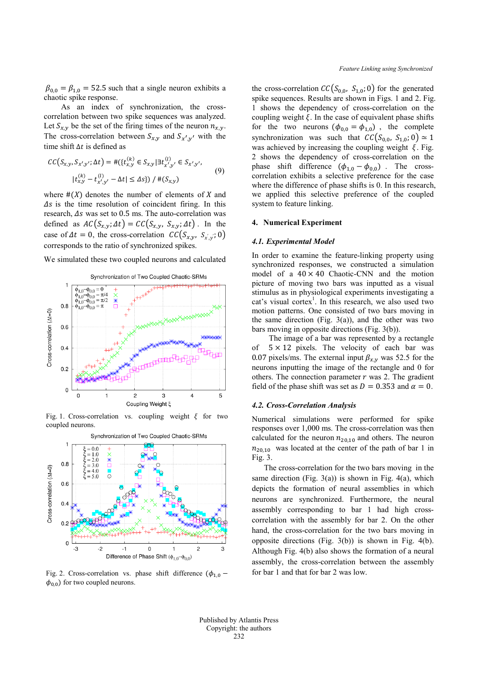$\beta_{0,0} = \beta_{1,0} = 52.5$  such that a single neuron exhibits a chaotic spike response.

As an index of synchronization, the crosscorrelation between two spike sequences was analyzed. Let  $S_{x,y}$  be the set of the firing times of the neuron  $n_{x,y}$ . The cross-correlation between  $S_{x,y}$  and  $S_{x',y'}$  with the time shift  $\Delta t$  is defined as

$$
CC(S_{x,y}, S_{x',y'}; \Delta t) = #({t_{x,y}^{(k)}} \in S_{x,y} | \exists t_{x',y'}^{(l)} \in S_{x',y'},
$$
  

$$
|t_{x,y}^{(k)} - t_{x',y'}^{(l)} - \Delta t| \le \Delta s}) / #(S_{x,y})
$$
 (9)

where  $#(X)$  denotes the number of elements of X and  $\Delta s$  is the time resolution of coincident firing. In this research,  $\Delta s$  was set to 0.5 ms. The auto-correlation was defined as  $AC(S_{x,y}; \Delta t) = CC(S_{x,y}, S_{x,y}; \Delta t)$ . In the case of  $\Delta t = 0$ , the cross-correlation  $CC(S_{x,y}, S_{x,y}; 0)$ corresponds to the ratio of synchronized spikes.

We simulated these two coupled neurons and calculated



Fig. 1. Cross-correlation vs. coupling weight  $\xi$  for two coupled neurons.



Fig. 2. Cross-correlation vs. phase shift difference ( $\phi_{1,0}$  –  $\phi_{0,0}$ ) for two coupled neurons.

the cross-correlation  $CC(S_{0,0}, S_{1,0}; 0)$  for the generated spike sequences. Results are shown in Figs. 1 and 2. Fig. 1 shows the dependency of cross-correlation on the coupling weight  $\xi$ . In the case of equivalent phase shifts for the two neurons  $(\phi_{0,0} = \phi_{1,0})$ , the complete synchronization was such that  $CC(S_{0.0}, S_{1.0}; 0) \simeq 1$ was achieved by increasing the coupling weight  $\xi$ . Fig. 2 shows the dependency of cross-correlation on the phase shift difference  $(\phi_{1,0} - \phi_{0,0})$ . The crosscorrelation exhibits a selective preference for the case where the difference of phase shifts is 0. In this research, we applied this selective preference of the coupled system to feature linking.

## **4. Numerical Experiment**

## *4.1. Experimental Model*

In order to examine the feature-linking property using synchronized responses, we constructed a simulation model of a  $40 \times 40$  Chaotic-CNN and the motion picture of moving two bars was inputted as a visual stimulus as in physiological experiments investigating a cat's visual cortex<sup>1</sup>. In this research, we also used two motion patterns. One consisted of two bars moving in the same direction (Fig.  $3(a)$ ), and the other was two bars moving in opposite directions (Fig. 3(b)).

The image of a bar was represented by a rectangle of  $5 \times 12$  pixels. The velocity of each bar was 0.07 pixels/ms. The external input  $\beta_{x,y}$  was 52.5 for the neurons inputting the image of the rectangle and 0 for others. The connection parameter  $r$  was 2. The gradient field of the phase shift was set as  $D = 0.353$  and  $\alpha = 0$ .

#### *4.2. Cross-Correlation Analysis*

Numerical simulations were performed for spike responses over 1,000 ms. The cross-correlation was then calculated for the neuron  $n_{20,10}$  and others. The neuron  $n_{20,10}$  was located at the center of the path of bar 1 in Fig. 3.

The cross-correlation for the two bars moving in the same direction (Fig.  $3(a)$ ) is shown in Fig. 4(a), which depicts the formation of neural assemblies in which neurons are synchronized. Furthermore, the neural assembly corresponding to bar 1 had high crosscorrelation with the assembly for bar 2. On the other hand, the cross-correlation for the two bars moving in opposite directions (Fig. 3(b)) is shown in Fig. 4(b). Although Fig. 4(b) also shows the formation of a neural assembly, the cross-correlation between the assembly for bar 1 and that for bar 2 was low.